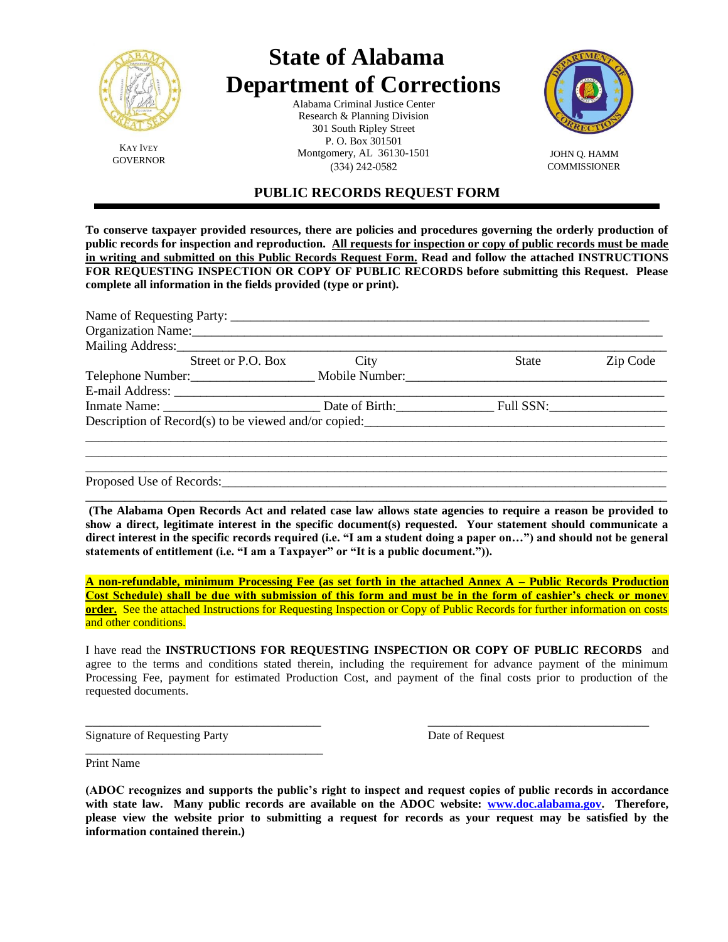

KAY IVEY

# **State of Alabama Department of Corrections**

Alabama Criminal Justice Center Research & Planning Division 301 South Ripley Street P. O. Box 301501 Montgomery, AL 36130-1501 JOHN Q. HAMM<br>GOVERNOR (201) 212 2522 (334) 242-0582



**COMMISSIONER** 

# **PUBLIC RECORDS REQUEST FORM**

**To conserve taxpayer provided resources, there are policies and procedures governing the orderly production of public records for inspection and reproduction. All requests for inspection or copy of public records must be made in writing and submitted on this Public Records Request Form. Read and follow the attached INSTRUCTIONS FOR REQUESTING INSPECTION OR COPY OF PUBLIC RECORDS before submitting this Request. Please complete all information in the fields provided (type or print).** 

| Organization Name: 1988                                                    |      |       |          |
|----------------------------------------------------------------------------|------|-------|----------|
| Mailing Address:                                                           |      |       |          |
| Street or P.O. Box                                                         | City | State | Zip Code |
| Telephone Number: __________________________ Mobile Number: ______________ |      |       |          |
|                                                                            |      |       |          |
|                                                                            |      |       |          |
| Description of $Record(s)$ to be viewed and/or copied:                     |      |       |          |
|                                                                            |      |       |          |
|                                                                            |      |       |          |
|                                                                            |      |       |          |
|                                                                            |      |       |          |

Proposed Use of Records:

**(The Alabama Open Records Act and related case law allows state agencies to require a reason be provided to show a direct, legitimate interest in the specific document(s) requested. Your statement should communicate a direct interest in the specific records required (i.e. "I am a student doing a paper on…") and should not be general statements of entitlement (i.e. "I am a Taxpayer" or "It is a public document.")).**

\_\_\_\_\_\_\_\_\_\_\_\_\_\_\_\_\_\_\_\_\_\_\_\_\_\_\_\_\_\_\_\_\_\_\_\_\_\_\_\_\_\_\_\_\_\_\_\_\_\_\_\_\_\_\_\_\_\_\_\_\_\_\_\_\_\_\_\_\_\_\_\_\_\_\_\_\_\_\_\_\_\_\_\_\_\_\_\_\_

**A non-refundable, minimum Processing Fee (as set forth in the attached Annex A – Public Records Production Cost Schedule) shall be due with submission of this form and must be in the form of cashier's check or money order.** See the attached Instructions for Requesting Inspection or Copy of Public Records for further information on costs and other conditions.

I have read the **INSTRUCTIONS FOR REQUESTING INSPECTION OR COPY OF PUBLIC RECORDS** and agree to the terms and conditions stated therein, including the requirement for advance payment of the minimum Processing Fee, payment for estimated Production Cost, and payment of the final costs prior to production of the requested documents.

\_\_\_\_\_\_\_\_\_\_\_\_\_\_\_\_\_\_\_\_\_\_\_\_\_\_\_\_\_\_\_\_\_ \_\_\_\_\_\_\_\_\_\_\_\_\_\_\_\_\_\_\_\_\_\_\_\_\_\_\_\_\_\_\_

Signature of Requesting Party Date of Request

\_\_\_\_\_\_\_\_\_\_\_\_\_\_\_\_\_\_\_\_\_\_\_\_\_\_\_\_\_\_\_\_\_\_\_\_\_\_\_\_

Print Name

**(ADOC recognizes and supports the public's right to inspect and request copies of public records in accordance with state law. Many public records are available on the ADOC website: [www.doc.alabama.gov.](http://www.doc.alabama.gov/) Therefore, please view the website prior to submitting a request for records as your request may be satisfied by the information contained therein.)**